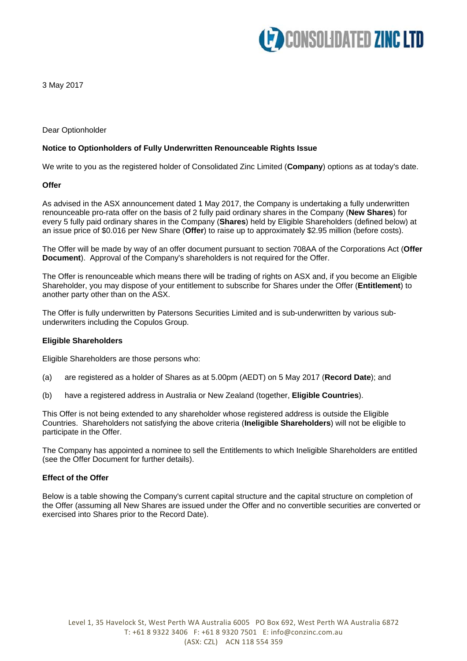

3 May 2017

## Dear Optionholder

## **Notice to Optionholders of Fully Underwritten Renounceable Rights Issue**

We write to you as the registered holder of Consolidated Zinc Limited (**Company**) options as at today's date.

### **Offer**

As advised in the ASX announcement dated 1 May 2017, the Company is undertaking a fully underwritten renounceable pro-rata offer on the basis of 2 fully paid ordinary shares in the Company (**New Shares**) for every 5 fully paid ordinary shares in the Company (**Shares**) held by Eligible Shareholders (defined below) at an issue price of \$0.016 per New Share (**Offer**) to raise up to approximately \$2.95 million (before costs).

The Offer will be made by way of an offer document pursuant to section 708AA of the Corporations Act (**Offer Document**). Approval of the Company's shareholders is not required for the Offer.

The Offer is renounceable which means there will be trading of rights on ASX and, if you become an Eligible Shareholder, you may dispose of your entitlement to subscribe for Shares under the Offer (**Entitlement**) to another party other than on the ASX.

The Offer is fully underwritten by Patersons Securities Limited and is sub-underwritten by various subunderwriters including the Copulos Group.

### **Eligible Shareholders**

Eligible Shareholders are those persons who:

- (a) are registered as a holder of Shares as at 5.00pm (AEDT) on 5 May 2017 (**Record Date**); and
- (b) have a registered address in Australia or New Zealand (together, **Eligible Countries**).

This Offer is not being extended to any shareholder whose registered address is outside the Eligible Countries. Shareholders not satisfying the above criteria (**Ineligible Shareholders**) will not be eligible to participate in the Offer.

The Company has appointed a nominee to sell the Entitlements to which Ineligible Shareholders are entitled (see the Offer Document for further details).

### **Effect of the Offer**

Below is a table showing the Company's current capital structure and the capital structure on completion of the Offer (assuming all New Shares are issued under the Offer and no convertible securities are converted or exercised into Shares prior to the Record Date).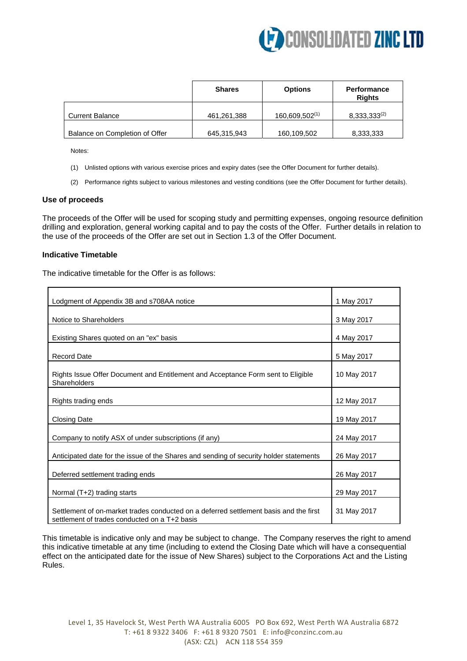

|                                | <b>Shares</b> | <b>Options</b> | <b>Performance</b><br><b>Rights</b> |
|--------------------------------|---------------|----------------|-------------------------------------|
| <b>Current Balance</b>         | 461,261,388   | 160,609,502(1) | $8,333,333^{(2)}$                   |
| Balance on Completion of Offer | 645,315,943   | 160,109,502    | 8,333,333                           |

Notes:

- (1) Unlisted options with various exercise prices and expiry dates (see the Offer Document for further details).
- (2) Performance rights subject to various milestones and vesting conditions (see the Offer Document for further details).

### **Use of proceeds**

The proceeds of the Offer will be used for scoping study and permitting expenses, ongoing resource definition drilling and exploration, general working capital and to pay the costs of the Offer. Further details in relation to the use of the proceeds of the Offer are set out in Section 1.3 of the Offer Document.

## **Indicative Timetable**

The indicative timetable for the Offer is as follows:

| Lodgment of Appendix 3B and s708AA notice                                                                                              | 1 May 2017  |
|----------------------------------------------------------------------------------------------------------------------------------------|-------------|
| Notice to Shareholders                                                                                                                 | 3 May 2017  |
| Existing Shares quoted on an "ex" basis                                                                                                | 4 May 2017  |
| <b>Record Date</b>                                                                                                                     | 5 May 2017  |
| Rights Issue Offer Document and Entitlement and Acceptance Form sent to Eligible<br>Shareholders                                       | 10 May 2017 |
| Rights trading ends                                                                                                                    | 12 May 2017 |
| <b>Closing Date</b>                                                                                                                    | 19 May 2017 |
| Company to notify ASX of under subscriptions (if any)                                                                                  | 24 May 2017 |
| Anticipated date for the issue of the Shares and sending of security holder statements                                                 | 26 May 2017 |
| Deferred settlement trading ends                                                                                                       | 26 May 2017 |
| Normal (T+2) trading starts                                                                                                            | 29 May 2017 |
| Settlement of on-market trades conducted on a deferred settlement basis and the first<br>settlement of trades conducted on a T+2 basis | 31 May 2017 |

This timetable is indicative only and may be subject to change. The Company reserves the right to amend this indicative timetable at any time (including to extend the Closing Date which will have a consequential effect on the anticipated date for the issue of New Shares) subject to the Corporations Act and the Listing Rules.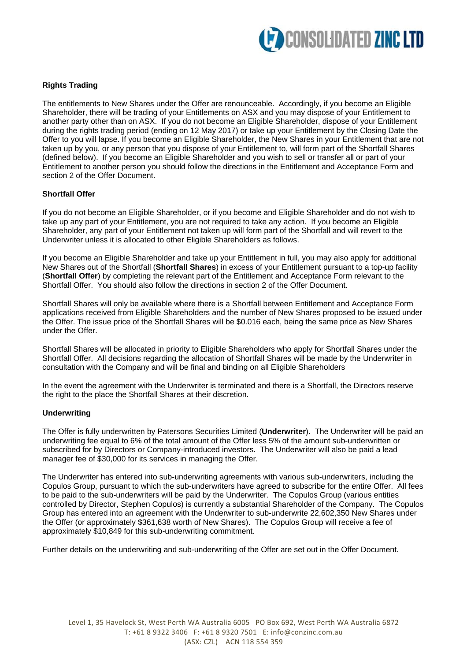

# **Rights Trading**

The entitlements to New Shares under the Offer are renounceable. Accordingly, if you become an Eligible Shareholder, there will be trading of your Entitlements on ASX and you may dispose of your Entitlement to another party other than on ASX. If you do not become an Eligible Shareholder, dispose of your Entitlement during the rights trading period (ending on 12 May 2017) or take up your Entitlement by the Closing Date the Offer to you will lapse. If you become an Eligible Shareholder, the New Shares in your Entitlement that are not taken up by you, or any person that you dispose of your Entitlement to, will form part of the Shortfall Shares (defined below). If you become an Eligible Shareholder and you wish to sell or transfer all or part of your Entitlement to another person you should follow the directions in the Entitlement and Acceptance Form and section 2 of the Offer Document.

## **Shortfall Offer**

If you do not become an Eligible Shareholder, or if you become and Eligible Shareholder and do not wish to take up any part of your Entitlement, you are not required to take any action. If you become an Eligible Shareholder, any part of your Entitlement not taken up will form part of the Shortfall and will revert to the Underwriter unless it is allocated to other Eligible Shareholders as follows.

If you become an Eligible Shareholder and take up your Entitlement in full, you may also apply for additional New Shares out of the Shortfall (**Shortfall Shares**) in excess of your Entitlement pursuant to a top-up facility (**Shortfall Offer**) by completing the relevant part of the Entitlement and Acceptance Form relevant to the Shortfall Offer. You should also follow the directions in section 2 of the Offer Document.

Shortfall Shares will only be available where there is a Shortfall between Entitlement and Acceptance Form applications received from Eligible Shareholders and the number of New Shares proposed to be issued under the Offer. The issue price of the Shortfall Shares will be \$0.016 each, being the same price as New Shares under the Offer.

Shortfall Shares will be allocated in priority to Eligible Shareholders who apply for Shortfall Shares under the Shortfall Offer. All decisions regarding the allocation of Shortfall Shares will be made by the Underwriter in consultation with the Company and will be final and binding on all Eligible Shareholders

In the event the agreement with the Underwriter is terminated and there is a Shortfall, the Directors reserve the right to the place the Shortfall Shares at their discretion.

### **Underwriting**

The Offer is fully underwritten by Patersons Securities Limited (**Underwriter**). The Underwriter will be paid an underwriting fee equal to 6% of the total amount of the Offer less 5% of the amount sub-underwritten or subscribed for by Directors or Company-introduced investors. The Underwriter will also be paid a lead manager fee of \$30,000 for its services in managing the Offer.

The Underwriter has entered into sub-underwriting agreements with various sub-underwriters, including the Copulos Group, pursuant to which the sub-underwriters have agreed to subscribe for the entire Offer. All fees to be paid to the sub-underwriters will be paid by the Underwriter. The Copulos Group (various entities controlled by Director, Stephen Copulos) is currently a substantial Shareholder of the Company. The Copulos Group has entered into an agreement with the Underwriter to sub-underwrite 22,602,350 New Shares under the Offer (or approximately \$361,638 worth of New Shares). The Copulos Group will receive a fee of approximately \$10,849 for this sub-underwriting commitment.

Further details on the underwriting and sub-underwriting of the Offer are set out in the Offer Document.